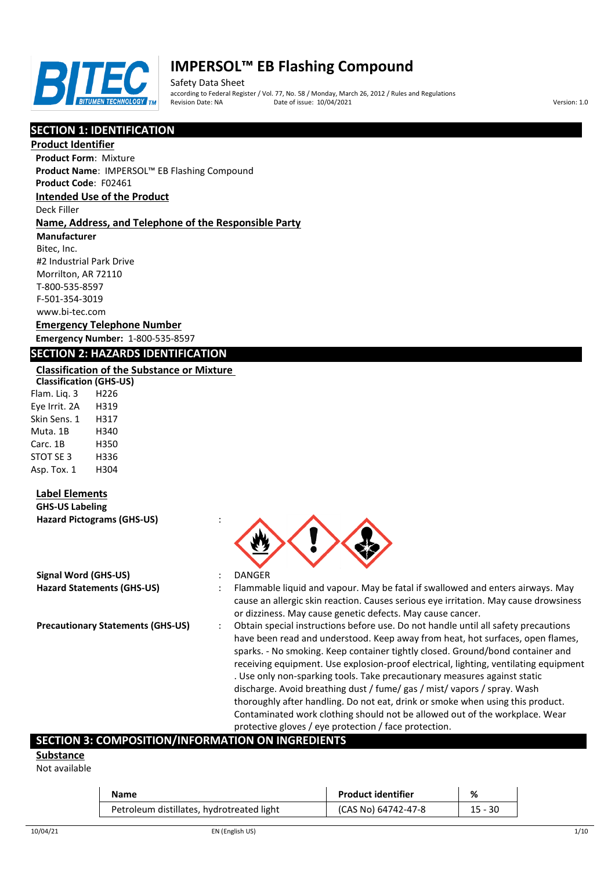

Safety Data Sheet according to Federal Register / Vol. 77, No. 58 / Monday, March 26, 2012 / Rules and Regulations Pate of issue: 10/04/2021 **Version: 1.0** 

# **SECTION 1: IDENTIFICATION**

#### **Product Identifier**

**Product Form**: Mixture **Product Name**: IMPERSOL™ EB Flashing Compound

**Product Code**: F02461

#### **Intended Use of the Product**

Deck Filler

#### **Name, Address, and Telephone of the Responsible Party**

**Manufacturer**

Bitec, Inc. #2 Industrial Park Drive Morrilton, AR 72110 T-800-535-8597 F-501-354-3019 www.bi-tec.com

#### **Emergency Telephone Number Emergency Number:** 1-800-535-8597

## **SECTION 2: HAZARDS IDENTIFICATION**

#### **Classification of the Substance or Mixture**

**Classification (GHS-US)** Flam. Liq. 3 H226 Eye Irrit. 2A H319 Skin Sens. 1 H317 Muta. 1B H340 Carc. 1B H350 STOT SE 3 H336 Asp. Tox. 1 H304

## **Label Elements**

**GHS-US Labeling Hazard Pictograms (GHS-US)** :

| Signal Word (GHS-US)       |  |
|----------------------------|--|
| Hazard Statements (GHS-US) |  |



**Hazard Statements (GHS-US)** : Flammable liquid and vapour. May be fatal if swallowed and enters airways. May cause an allergic skin reaction. Causes serious eye irritation. May cause drowsiness or dizziness. May cause genetic defects. May cause cancer.

**Precautionary Statements (GHS-US)** : Obtain special instructions before use. Do not handle until all safety precautions have been read and understood. Keep away from heat, hot surfaces, open flames, sparks. - No smoking. Keep container tightly closed. Ground/bond container and receiving equipment. Use explosion-proof electrical, lighting, ventilating equipment . Use only non-sparking tools. Take precautionary measures against static discharge. Avoid breathing dust / fume/ gas / mist/ vapors / spray. Wash thoroughly after handling. Do not eat, drink or smoke when using this product. Contaminated work clothing should not be allowed out of the workplace. Wear protective gloves / eye protection / face protection.

## **SECTION 3: COMPOSITION/INFORMATION ON INGREDIENTS**

**Substance**

Not available

| Name                                      | <b>Product identifier</b> | ℅       |
|-------------------------------------------|---------------------------|---------|
| Petroleum distillates, hydrotreated light | (CAS No) 64742-47-8       | 15 - 30 |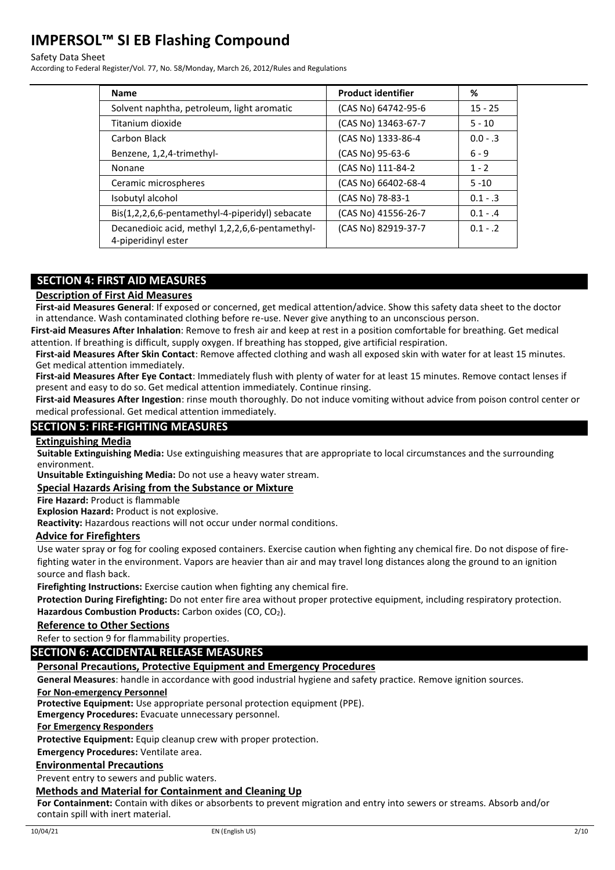#### Safety Data Sheet

According to Federal Register/Vol. 77, No. 58/Monday, March 26, 2012/Rules and Regulations

| <b>Name</b>                                                            | <b>Product identifier</b> | ℅          |
|------------------------------------------------------------------------|---------------------------|------------|
| Solvent naphtha, petroleum, light aromatic                             | (CAS No) 64742-95-6       | $15 - 25$  |
| Titanium dioxide                                                       | (CAS No) 13463-67-7       | $5 - 10$   |
| Carbon Black                                                           | (CAS No) 1333-86-4        | $0.0 - .3$ |
| Benzene, 1,2,4-trimethyl-                                              | (CAS No) 95-63-6          | $6 - 9$    |
| Nonane                                                                 | (CAS No) 111-84-2         | $1 - 2$    |
| Ceramic microspheres                                                   | (CAS No) 66402-68-4       | $5 - 10$   |
| Isobutyl alcohol                                                       | (CAS No) 78-83-1          | $0.1 - .3$ |
| Bis(1,2,2,6,6-pentamethyl-4-piperidyl) sebacate                        | (CAS No) 41556-26-7       | $0.1 - .4$ |
| Decanedioic acid, methyl 1,2,2,6,6-pentamethyl-<br>4-piperidinyl ester | (CAS No) 82919-37-7       | $0.1 - .2$ |

## **SECTION 4: FIRST AID MEASURES**

#### **Description of First Aid Measures**

**First-aid Measures General**: If exposed or concerned, get medical attention/advice. Show this safety data sheet to the doctor in attendance. Wash contaminated clothing before re-use. Never give anything to an unconscious person.

**First-aid Measures After Inhalation**: Remove to fresh air and keep at rest in a position comfortable for breathing. Get medical attention. If breathing is difficult, supply oxygen. If breathing has stopped, give artificial respiration.

**First-aid Measures After Skin Contact**: Remove affected clothing and wash all exposed skin with water for at least 15 minutes. Get medical attention immediately.

**First-aid Measures After Eye Contact**: Immediately flush with plenty of water for at least 15 minutes. Remove contact lenses if present and easy to do so. Get medical attention immediately. Continue rinsing.

**First-aid Measures After Ingestion**: rinse mouth thoroughly. Do not induce vomiting without advice from poison control center or medical professional. Get medical attention immediately.

## **SECTION 5: FIRE-FIGHTING MEASURES**

#### **Extinguishing Media**

**Suitable Extinguishing Media:** Use extinguishing measures that are appropriate to local circumstances and the surrounding environment.

**Unsuitable Extinguishing Media:** Do not use a heavy water stream.

#### **Special Hazards Arising from the Substance or Mixture**

**Fire Hazard:** Product is flammable

**Explosion Hazard:** Product is not explosive.

**Reactivity:** Hazardous reactions will not occur under normal conditions.

#### **Advice for Firefighters**

Use water spray or fog for cooling exposed containers. Exercise caution when fighting any chemical fire. Do not dispose of firefighting water in the environment. Vapors are heavier than air and may travel long distances along the ground to an ignition source and flash back.

**Firefighting Instructions:** Exercise caution when fighting any chemical fire.

**Protection During Firefighting:** Do not enter fire area without proper protective equipment, including respiratory protection. Hazardous Combustion Products: Carbon oxides (CO, CO<sub>2</sub>).

#### **Reference to Other Sections**

Refer to section 9 for flammability properties.

## **SECTION 6: ACCIDENTAL RELEASE MEASURES**

#### **Personal Precautions, Protective Equipment and Emergency Procedures**

**General Measures**: handle in accordance with good industrial hygiene and safety practice. Remove ignition sources.

#### **For Non-emergency Personnel**

**Protective Equipment:** Use appropriate personal protection equipment (PPE).

**Emergency Procedures:** Evacuate unnecessary personnel.

#### **For Emergency Responders**

**Protective Equipment:** Equip cleanup crew with proper protection.

**Emergency Procedures:** Ventilate area.

#### **Environmental Precautions**

Prevent entry to sewers and public waters.

#### **Methods and Material for Containment and Cleaning Up**

**For Containment:** Contain with dikes or absorbents to prevent migration and entry into sewers or streams. Absorb and/or contain spill with inert material.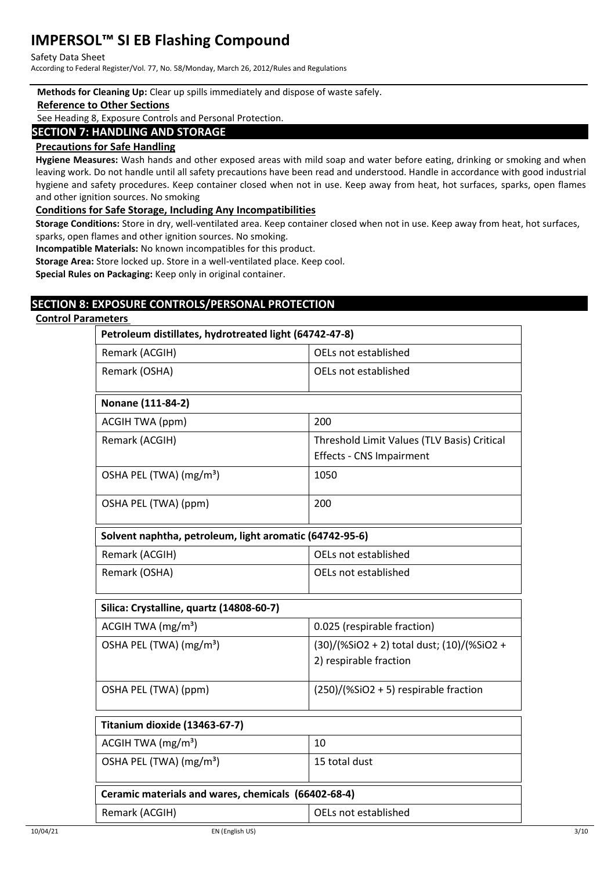#### Safety Data Sheet

According to Federal Register/Vol. 77, No. 58/Monday, March 26, 2012/Rules and Regulations

#### **Methods for Cleaning Up:** Clear up spills immediately and dispose of waste safely.

#### **Reference to Other Sections**

See Heading 8, Exposure Controls and Personal Protection.

#### **SECTION 7: HANDLING AND STORAGE**

#### **Precautions for Safe Handling**

**Hygiene Measures:** Wash hands and other exposed areas with mild soap and water before eating, drinking or smoking and when leaving work. Do not handle until all safety precautions have been read and understood. Handle in accordance with good industrial hygiene and safety procedures. Keep container closed when not in use. Keep away from heat, hot surfaces, sparks, open flames and other ignition sources. No smoking

#### **Conditions for Safe Storage, Including Any Incompatibilities**

**Storage Conditions:** Store in dry, well-ventilated area. Keep container closed when not in use. Keep away from heat, hot surfaces, sparks, open flames and other ignition sources. No smoking.

**Incompatible Materials:** No known incompatibles for this product.

**Storage Area:** Store locked up. Store in a well-ventilated place. Keep cool.

**Special Rules on Packaging:** Keep only in original container.

# **SECTION 8: EXPOSURE CONTROLS/PERSONAL PROTECTION**

## **Control Parameters**

# **Petroleum distillates, hydrotreated light (64742-47-8)**

| Remark (ACGIH)                                          | OELs not established                        |  |  |
|---------------------------------------------------------|---------------------------------------------|--|--|
| Remark (OSHA)                                           | OELs not established                        |  |  |
|                                                         |                                             |  |  |
| Nonane (111-84-2)                                       |                                             |  |  |
| ACGIH TWA (ppm)                                         | 200                                         |  |  |
| Remark (ACGIH)                                          | Threshold Limit Values (TLV Basis) Critical |  |  |
|                                                         | <b>Effects - CNS Impairment</b>             |  |  |
| OSHA PEL (TWA) (mg/m <sup>3</sup> )                     | 1050                                        |  |  |
| OSHA PEL (TWA) (ppm)                                    | 200                                         |  |  |
| Solvent naphtha, petroleum, light aromatic (64742-95-6) |                                             |  |  |
| Remark (ACGIH)                                          | OELs not established                        |  |  |
| Remark (OSHA)                                           | OELs not established                        |  |  |
| Silica: Crystalline, quartz (14808-60-7)                |                                             |  |  |
| ACGIH TWA $(mg/m3)$                                     | 0.025 (respirable fraction)                 |  |  |
| OSHA PEL (TWA) (mg/m <sup>3</sup> )                     | (30)/(%SiO2 + 2) total dust; (10)/(%SiO2 +  |  |  |
|                                                         | 2) respirable fraction                      |  |  |
| OSHA PEL (TWA) (ppm)                                    | $(250)/($ %SiO2 + 5) respirable fraction    |  |  |
| Titanium dioxide (13463-67-7)                           |                                             |  |  |
| ACGIH TWA $(mg/m3)$                                     | 10                                          |  |  |
| OSHA PEL (TWA) (mg/m <sup>3</sup> )                     | 15 total dust                               |  |  |
| Ceramic materials and wares, chemicals (66402-68-4)     |                                             |  |  |
| Remark (ACGIH)                                          | OELs not established                        |  |  |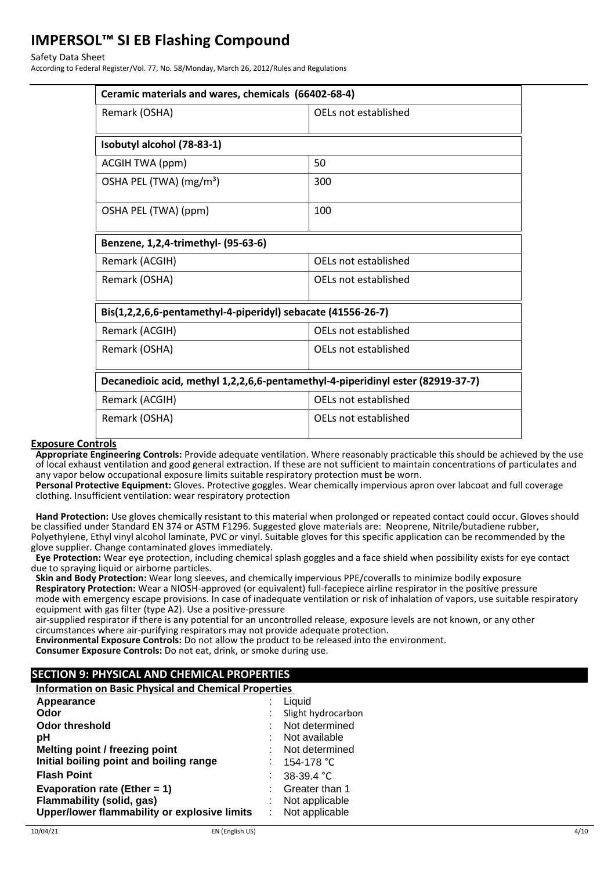#### Safety Data Sheet

According to Federal Register/Vol. 77, No. 58/Monday, March 26, 2012/Rules and Regulations

| Ceramic materials and wares, chemicals (66402-68-4)                             |                      |  |  |  |
|---------------------------------------------------------------------------------|----------------------|--|--|--|
| Remark (OSHA)                                                                   | OELs not established |  |  |  |
| Isobutyl alcohol (78-83-1)                                                      |                      |  |  |  |
| ACGIH TWA (ppm)                                                                 | 50                   |  |  |  |
| OSHA PEL (TWA) (mg/m <sup>3</sup> )                                             | 300                  |  |  |  |
| OSHA PEL (TWA) (ppm)                                                            | 100                  |  |  |  |
| Benzene, 1,2,4-trimethyl- (95-63-6)                                             |                      |  |  |  |
| Remark (ACGIH)                                                                  | OELs not established |  |  |  |
| Remark (OSHA)                                                                   | OELs not established |  |  |  |
| Bis(1,2,2,6,6-pentamethyl-4-piperidyl) sebacate (41556-26-7)                    |                      |  |  |  |
| Remark (ACGIH)                                                                  | OELs not established |  |  |  |
| Remark (OSHA)                                                                   | OELs not established |  |  |  |
| Decanedioic acid, methyl 1,2,2,6,6-pentamethyl-4-piperidinyl ester (82919-37-7) |                      |  |  |  |
| Remark (ACGIH)                                                                  | OELs not established |  |  |  |
| Remark (OSHA)                                                                   | OELs not established |  |  |  |
|                                                                                 |                      |  |  |  |

#### **Exposure Controls**

**Appropriate Engineering Controls:** Provide adequate ventilation. Where reasonably practicable this should be achieved by the use of local exhaust ventilation and good general extraction. If these are not sufficient to maintain concentrations of particulates and any vapor below occupational exposure limits suitable respiratory protection must be worn.

**Personal Protective Equipment:** Gloves. Protective goggles. Wear chemically impervious apron over labcoat and full coverage clothing. Insufficient ventilation: wear respiratory protection

**Hand Protection:** Use gloves chemically resistant to this material when prolonged or repeated contact could occur. Gloves should be classified under Standard EN 374 or ASTM F1296. Suggested glove materials are: Neoprene, Nitrile/butadiene rubber, Polyethylene, Ethyl vinyl alcohol laminate, PVC or vinyl. Suitable gloves for this specific application can be recommended by the glove supplier. Change contaminated gloves immediately.

**Eye Protection:** Wear eye protection, including chemical splash goggles and a face shield when possibility exists for eye contact due to spraying liquid or airborne particles.

**Skin and Body Protection:** Wear long sleeves, and chemically impervious PPE/coveralls to minimize bodily exposure **Respiratory Protection:** Wear a NIOSH-approved (or equivalent) full-facepiece airline respirator in the positive pressure mode with emergency escape provisions. In case of inadequate ventilation or risk of inhalation of vapors, use suitable respiratory equipment with gas filter (type A2). Use a positive-pressure

air-supplied respirator if there is any potential for an uncontrolled release, exposure levels are not known, or any other circumstances where air-purifying respirators may not provide adequate protection.

**Environmental Exposure Controls:** Do not allow the product to be released into the environment.

**Consumer Exposure Controls:** Do not eat, drink, or smoke during use.

# **SECTION 9: PHYSICAL AND CHEMICAL PROPERTIES**

**Information on Basic Physical and Chemical Properties** 

| Appearance                                   |  | Liquid             |
|----------------------------------------------|--|--------------------|
| Odor                                         |  | Slight hydrocarbon |
| <b>Odor threshold</b>                        |  | Not determined     |
| рH                                           |  | Not available      |
| Melting point / freezing point               |  | Not determined     |
| Initial boiling point and boiling range      |  | 154-178 °C         |
| <b>Flash Point</b>                           |  | $38-39.4$ °C       |
| Evaporation rate (Ether = 1)                 |  | Greater than 1     |
| Flammability (solid, gas)                    |  | Not applicable     |
| Upper/lower flammability or explosive limits |  | Not applicable     |
|                                              |  |                    |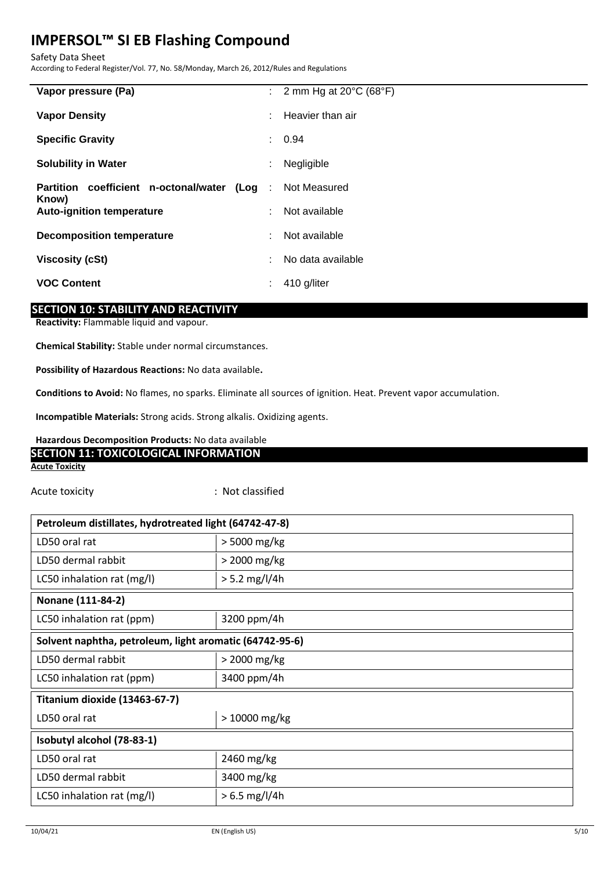Safety Data Sheet

According to Federal Register/Vol. 77, No. 58/Monday, March 26, 2012/Rules and Regulations

| Vapor pressure (Pa)                                   |    | : 2 mm Hg at $20^{\circ}$ C (68 $^{\circ}$ F) |
|-------------------------------------------------------|----|-----------------------------------------------|
| <b>Vapor Density</b>                                  | ÷  | Heavier than air                              |
| <b>Specific Gravity</b>                               |    | : 0.94                                        |
| <b>Solubility in Water</b>                            | ÷  | Negligible                                    |
| Partition coefficient n-octonal/water (Log :<br>Know) |    | Not Measured                                  |
| <b>Auto-ignition temperature</b>                      | ÷. | Not available                                 |
| <b>Decomposition temperature</b>                      | t. | Not available                                 |
| <b>Viscosity (cSt)</b>                                | t. | No data available                             |
| <b>VOC Content</b>                                    | ÷  | 410 g/liter                                   |
|                                                       |    |                                               |

# **SECTION 10: STABILITY AND REACTIVITY**

**Reactivity:** Flammable liquid and vapour.

**Chemical Stability:** Stable under normal circumstances.

**Possibility of Hazardous Reactions:** No data available**.**

**Conditions to Avoid:** No flames, no sparks. Eliminate all sources of ignition. Heat. Prevent vapor accumulation.

**Incompatible Materials:** Strong acids. Strong alkalis. Oxidizing agents.

# **Hazardous Decomposition Products:** No data available **SECTION 11: TOXICOLOGICAL INFORMATION**

#### **Acute Toxicity**

Acute toxicity **in the case of the Case of the Case of the Case of the Case of the Case of the Case of the Case of the Case of the Case of the Case of the Case of the Case of the Case of the Case of the Case of the Case of** 

| Petroleum distillates, hydrotreated light (64742-47-8)  |                 |  |
|---------------------------------------------------------|-----------------|--|
| LD50 oral rat                                           | > 5000 mg/kg    |  |
| LD50 dermal rabbit                                      | > 2000 mg/kg    |  |
| LC50 inhalation rat (mg/l)                              | $> 5.2$ mg/l/4h |  |
| Nonane (111-84-2)                                       |                 |  |
| LC50 inhalation rat (ppm)                               | 3200 ppm/4h     |  |
| Solvent naphtha, petroleum, light aromatic (64742-95-6) |                 |  |
| LD50 dermal rabbit                                      | $>$ 2000 mg/kg  |  |
| LC50 inhalation rat (ppm)                               | 3400 ppm/4h     |  |
| Titanium dioxide (13463-67-7)                           |                 |  |
| LD50 oral rat                                           | $>10000$ mg/kg  |  |
| Isobutyl alcohol (78-83-1)                              |                 |  |
| LD50 oral rat                                           | 2460 mg/kg      |  |
| LD50 dermal rabbit                                      | 3400 mg/kg      |  |
| LC50 inhalation rat (mg/l)                              | $> 6.5$ mg/l/4h |  |
|                                                         |                 |  |

 $\mathbf{I}$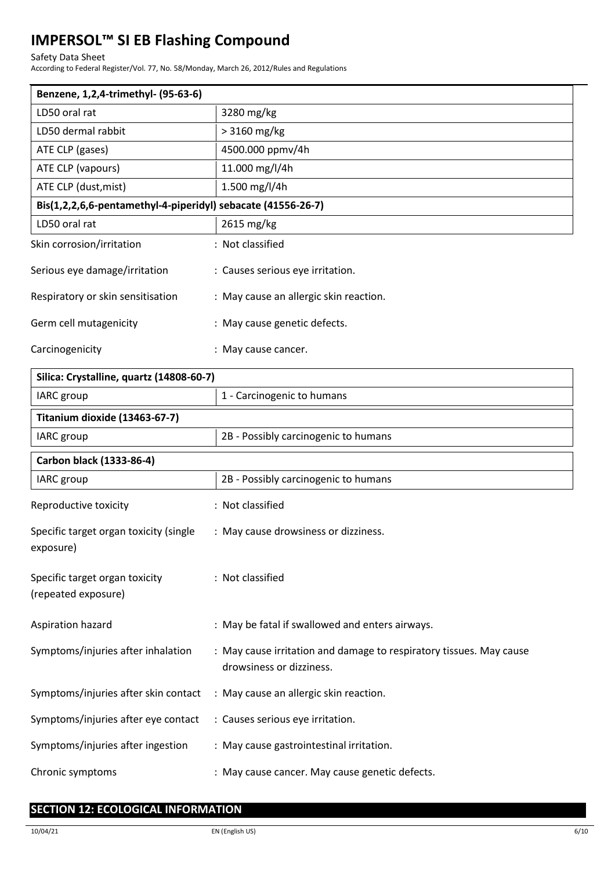#### Safety Data Sheet

According to Federal Register/Vol. 77, No. 58/Monday, March 26, 2012/Rules and Regulations

| Benzene, 1,2,4-trimethyl- (95-63-6)                          |                                        |  |
|--------------------------------------------------------------|----------------------------------------|--|
| LD50 oral rat                                                | 3280 mg/kg                             |  |
| LD50 dermal rabbit                                           | > 3160 mg/kg                           |  |
| ATE CLP (gases)                                              | 4500.000 ppmv/4h                       |  |
| ATE CLP (vapours)                                            | 11.000 mg/l/4h                         |  |
| ATE CLP (dust, mist)                                         | 1.500 mg/l/4h                          |  |
| Bis(1,2,2,6,6-pentamethyl-4-piperidyl) sebacate (41556-26-7) |                                        |  |
| LD50 oral rat                                                | 2615 mg/kg                             |  |
| Skin corrosion/irritation                                    | : Not classified                       |  |
| Serious eye damage/irritation                                | : Causes serious eye irritation.       |  |
| Respiratory or skin sensitisation                            | : May cause an allergic skin reaction. |  |
| Germ cell mutagenicity                                       | : May cause genetic defects.           |  |
| Carcinogenicity                                              | : May cause cancer.                    |  |

| Silica: Crystalline, quartz (14808-60-7)              |                                                                                                 |
|-------------------------------------------------------|-------------------------------------------------------------------------------------------------|
| IARC group                                            | 1 - Carcinogenic to humans                                                                      |
| Titanium dioxide (13463-67-7)                         |                                                                                                 |
| <b>IARC</b> group                                     | 2B - Possibly carcinogenic to humans                                                            |
| Carbon black (1333-86-4)                              |                                                                                                 |
| <b>IARC</b> group                                     | 2B - Possibly carcinogenic to humans                                                            |
| Reproductive toxicity                                 | : Not classified                                                                                |
| Specific target organ toxicity (single<br>exposure)   | : May cause drowsiness or dizziness.                                                            |
| Specific target organ toxicity<br>(repeated exposure) | : Not classified                                                                                |
| Aspiration hazard                                     | : May be fatal if swallowed and enters airways.                                                 |
| Symptoms/injuries after inhalation                    | : May cause irritation and damage to respiratory tissues. May cause<br>drowsiness or dizziness. |
| Symptoms/injuries after skin contact                  | : May cause an allergic skin reaction.                                                          |
| Symptoms/injuries after eye contact                   | : Causes serious eye irritation.                                                                |
| Symptoms/injuries after ingestion                     | : May cause gastrointestinal irritation.                                                        |
| Chronic symptoms                                      | : May cause cancer. May cause genetic defects.                                                  |

# **SECTION 12: ECOLOGICAL INFORMATION**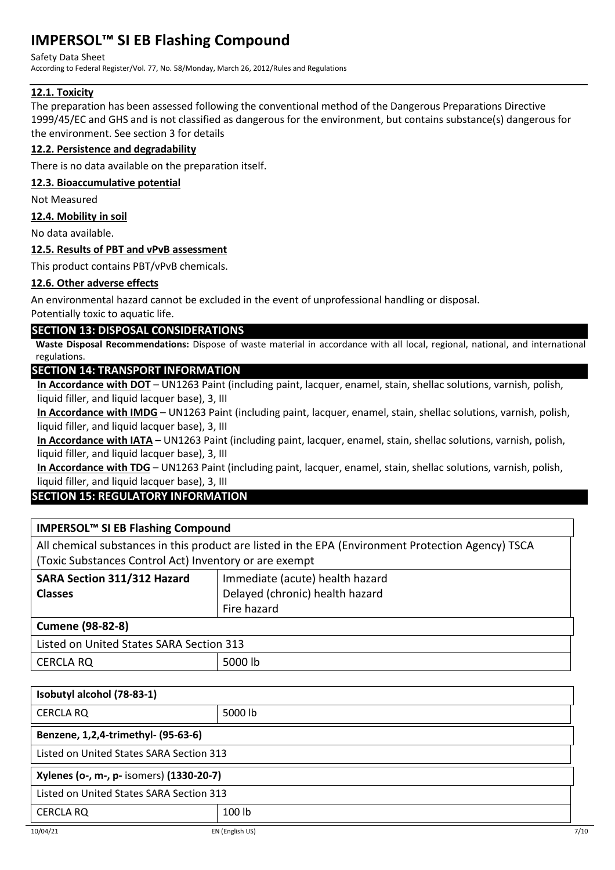#### Safety Data Sheet

According to Federal Register/Vol. 77, No. 58/Monday, March 26, 2012/Rules and Regulations

# **12.1. Toxicity**

The preparation has been assessed following the conventional method of the Dangerous Preparations Directive 1999/45/EC and GHS and is not classified as dangerous for the environment, but contains substance(s) dangerous for the environment. See section 3 for details

# **12.2. Persistence and degradability**

There is no data available on the preparation itself.

## **12.3. Bioaccumulative potential**

Not Measured

## **12.4. Mobility in soil**

No data available.

# **12.5. Results of PBT and vPvB assessment**

This product contains PBT/vPvB chemicals.

# **12.6. Other adverse effects**

An environmental hazard cannot be excluded in the event of unprofessional handling or disposal.

# Potentially toxic to aquatic life.

# **SECTION 13: DISPOSAL CONSIDERATIONS**

**Waste Disposal Recommendations:** Dispose of waste material in accordance with all local, regional, national, and international regulations.

# **SECTION 14: TRANSPORT INFORMATION**

**In Accordance with DOT** – UN1263 Paint (including paint, lacquer, enamel, stain, shellac solutions, varnish, polish, liquid filler, and liquid lacquer base), 3, III

**In Accordance with IMDG** – UN1263 Paint (including paint, lacquer, enamel, stain, shellac solutions, varnish, polish, liquid filler, and liquid lacquer base), 3, III

**In Accordance with IATA** – UN1263 Paint (including paint, lacquer, enamel, stain, shellac solutions, varnish, polish, liquid filler, and liquid lacquer base), 3, III

**In Accordance with TDG** – UN1263 Paint (including paint, lacquer, enamel, stain, shellac solutions, varnish, polish, liquid filler, and liquid lacquer base), 3, III

# **SECTION 15: REGULATORY INFORMATION**

| IMPERSOL™ SI EB Flashing Compound                                                                  |                                 |  |
|----------------------------------------------------------------------------------------------------|---------------------------------|--|
| All chemical substances in this product are listed in the EPA (Environment Protection Agency) TSCA |                                 |  |
| (Toxic Substances Control Act) Inventory or are exempt                                             |                                 |  |
| SARA Section 311/312 Hazard<br>Immediate (acute) health hazard                                     |                                 |  |
| <b>Classes</b>                                                                                     | Delayed (chronic) health hazard |  |
| Fire hazard                                                                                        |                                 |  |
| <b>Cumene (98-82-8)</b>                                                                            |                                 |  |
| Listed on United States SARA Section 313                                                           |                                 |  |

# CERCLA RQ 5000 lb

| Isobutyl alcohol (78-83-1)               |         |  |
|------------------------------------------|---------|--|
| <b>CERCLA RQ</b>                         | 5000 lb |  |
| Benzene, 1,2,4-trimethyl- (95-63-6)      |         |  |
| Listed on United States SARA Section 313 |         |  |
| Xylenes (o-, m-, p- isomers) (1330-20-7) |         |  |
| Listed on United States SARA Section 313 |         |  |
| <b>CERCLA RQ</b>                         | 100 lb  |  |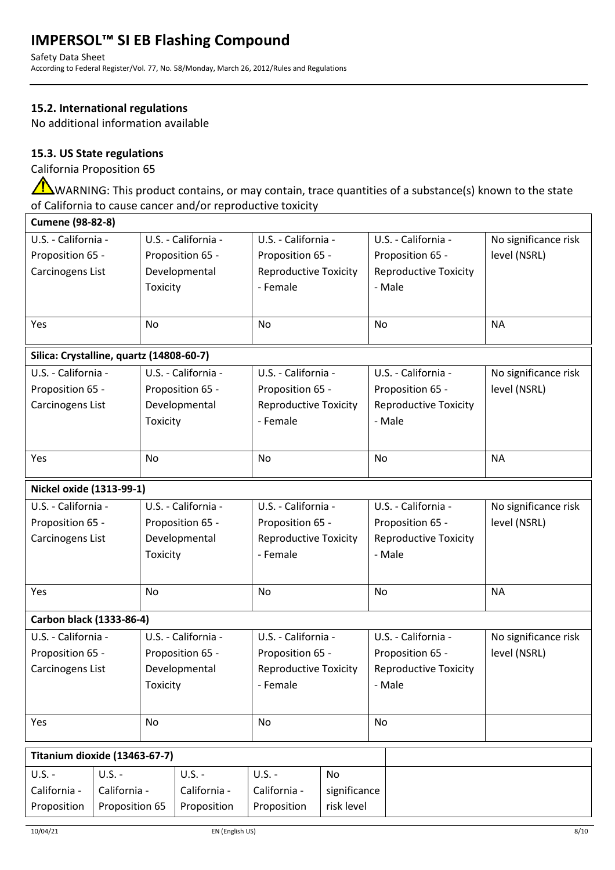Safety Data Sheet According to Federal Register/Vol. 77, No. 58/Monday, March 26, 2012/Rules and Regulations

# **15.2. International regulations**

No additional information available

# **15.3. US State regulations**

California Proposition 65

<u>/N</u> WARNING: This product contains, or may contain, trace quantities of a substance(s) known to the state of California to cause cancer and/or reproductive toxicity

| <b>Cumene (98-82-8)</b>                  |                     |                     |                     |                              |              |                              |                              |                      |  |  |  |
|------------------------------------------|---------------------|---------------------|---------------------|------------------------------|--------------|------------------------------|------------------------------|----------------------|--|--|--|
| U.S. - California -                      |                     | U.S. - California - |                     | U.S. - California -          |              | U.S. - California -          |                              | No significance risk |  |  |  |
| Proposition 65 -                         |                     | Proposition 65 -    |                     | Proposition 65 -             |              | Proposition 65 -             |                              | level (NSRL)         |  |  |  |
| Carcinogens List                         |                     | Developmental       |                     | <b>Reproductive Toxicity</b> |              | <b>Reproductive Toxicity</b> |                              |                      |  |  |  |
|                                          |                     | Toxicity            |                     | - Female                     |              | - Male                       |                              |                      |  |  |  |
|                                          |                     |                     |                     |                              |              |                              |                              |                      |  |  |  |
| Yes                                      |                     | No                  |                     | No                           |              | No                           |                              | <b>NA</b>            |  |  |  |
| Silica: Crystalline, quartz (14808-60-7) |                     |                     |                     |                              |              |                              |                              |                      |  |  |  |
|                                          | U.S. - California - |                     | U.S. - California - | U.S. - California -          |              | U.S. - California -          |                              | No significance risk |  |  |  |
| Proposition 65 -                         |                     | Proposition 65 -    |                     | Proposition 65 -             |              | Proposition 65 -             |                              | level (NSRL)         |  |  |  |
| Carcinogens List                         |                     | Developmental       |                     | <b>Reproductive Toxicity</b> |              | <b>Reproductive Toxicity</b> |                              |                      |  |  |  |
|                                          |                     | Toxicity            |                     | - Female                     |              | - Male                       |                              |                      |  |  |  |
|                                          |                     |                     |                     |                              |              |                              |                              |                      |  |  |  |
| Yes                                      |                     | No                  |                     | <b>No</b>                    |              | <b>No</b>                    |                              | <b>NA</b>            |  |  |  |
|                                          |                     |                     |                     |                              |              |                              |                              |                      |  |  |  |
| Nickel oxide (1313-99-1)                 |                     |                     |                     |                              |              |                              |                              |                      |  |  |  |
| U.S. - California -                      |                     | U.S. - California - |                     | U.S. - California -          |              |                              | U.S. - California -          | No significance risk |  |  |  |
| Proposition 65 -                         |                     | Proposition 65 -    |                     | Proposition 65 -             |              |                              | Proposition 65 -             | level (NSRL)         |  |  |  |
| Carcinogens List                         |                     | Developmental       |                     | <b>Reproductive Toxicity</b> |              |                              | <b>Reproductive Toxicity</b> |                      |  |  |  |
|                                          |                     | Toxicity            |                     | - Female                     |              | - Male                       |                              |                      |  |  |  |
|                                          |                     |                     |                     |                              |              |                              |                              |                      |  |  |  |
| Yes                                      |                     | No                  |                     | <b>No</b>                    |              | <b>No</b>                    |                              | <b>NA</b>            |  |  |  |
|                                          |                     |                     |                     |                              |              |                              |                              |                      |  |  |  |
| Carbon black (1333-86-4)                 |                     |                     |                     |                              |              |                              |                              |                      |  |  |  |
| U.S. - California -                      |                     | U.S. - California - |                     | U.S. - California -          |              | U.S. - California -          |                              | No significance risk |  |  |  |
| Proposition 65 -                         |                     | Proposition 65 -    |                     | Proposition 65 -             |              | Proposition 65 -             |                              | level (NSRL)         |  |  |  |
| Carcinogens List                         |                     | Developmental       |                     | <b>Reproductive Toxicity</b> |              |                              | <b>Reproductive Toxicity</b> |                      |  |  |  |
|                                          |                     | Toxicity            |                     | - Female                     |              | - Male                       |                              |                      |  |  |  |
|                                          |                     |                     |                     |                              |              |                              |                              |                      |  |  |  |
| Yes                                      |                     | No                  |                     | No                           |              | No                           |                              |                      |  |  |  |
|                                          |                     |                     |                     |                              |              |                              |                              |                      |  |  |  |
| Titanium dioxide (13463-67-7)            |                     |                     |                     |                              |              |                              |                              |                      |  |  |  |
| $U.S. -$<br>$U.S. -$                     |                     | $U.S. -$            |                     | $U.S. -$                     | <b>No</b>    |                              |                              |                      |  |  |  |
| California -<br>California -             |                     | California -        |                     | California -                 | significance |                              |                              |                      |  |  |  |
| Proposition<br>Proposition 65            |                     | Proposition         |                     | Proposition                  | risk level   |                              |                              |                      |  |  |  |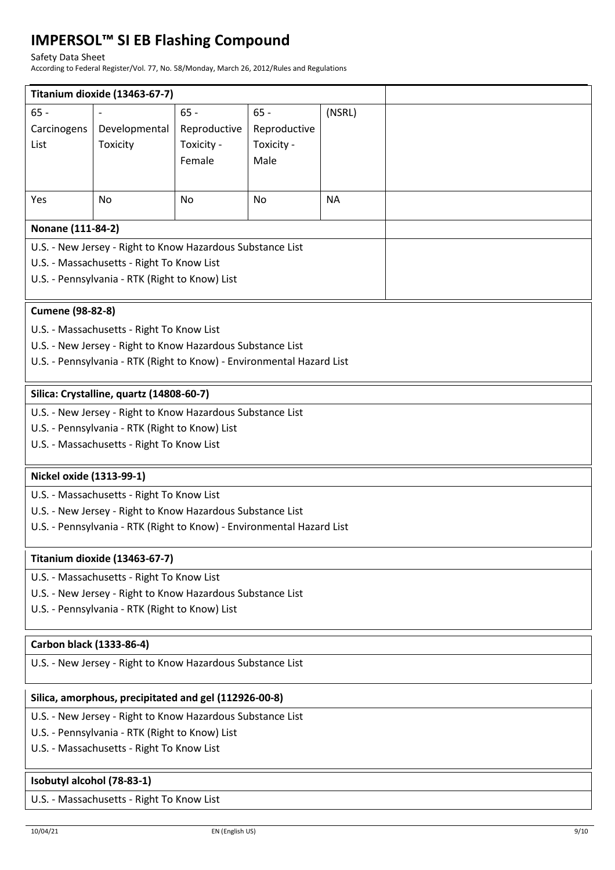#### Safety Data Sheet

According to Federal Register/Vol. 77, No. 58/Monday, March 26, 2012/Rules and Regulations

|                                                                       | Titanium dioxide (13463-67-7)                              |              |              |           |  |  |  |  |  |  |  |
|-----------------------------------------------------------------------|------------------------------------------------------------|--------------|--------------|-----------|--|--|--|--|--|--|--|
| $65 -$                                                                |                                                            | $65 -$       | $65 -$       | (NSRL)    |  |  |  |  |  |  |  |
| Carcinogens                                                           | Developmental                                              | Reproductive | Reproductive |           |  |  |  |  |  |  |  |
| List                                                                  | Toxicity                                                   | Toxicity -   | Toxicity -   |           |  |  |  |  |  |  |  |
|                                                                       |                                                            | Female       | Male         |           |  |  |  |  |  |  |  |
|                                                                       |                                                            |              |              |           |  |  |  |  |  |  |  |
| Yes                                                                   | No                                                         | No           | <b>No</b>    | <b>NA</b> |  |  |  |  |  |  |  |
|                                                                       |                                                            |              |              |           |  |  |  |  |  |  |  |
| Nonane (111-84-2)                                                     |                                                            |              |              |           |  |  |  |  |  |  |  |
| U.S. - New Jersey - Right to Know Hazardous Substance List            |                                                            |              |              |           |  |  |  |  |  |  |  |
|                                                                       | U.S. - Massachusetts - Right To Know List                  |              |              |           |  |  |  |  |  |  |  |
|                                                                       |                                                            |              |              |           |  |  |  |  |  |  |  |
| U.S. - Pennsylvania - RTK (Right to Know) List                        |                                                            |              |              |           |  |  |  |  |  |  |  |
| <b>Cumene (98-82-8)</b>                                               |                                                            |              |              |           |  |  |  |  |  |  |  |
| U.S. - Massachusetts - Right To Know List                             |                                                            |              |              |           |  |  |  |  |  |  |  |
|                                                                       | U.S. - New Jersey - Right to Know Hazardous Substance List |              |              |           |  |  |  |  |  |  |  |
| U.S. - Pennsylvania - RTK (Right to Know) - Environmental Hazard List |                                                            |              |              |           |  |  |  |  |  |  |  |
|                                                                       |                                                            |              |              |           |  |  |  |  |  |  |  |
| Silica: Crystalline, quartz (14808-60-7)                              |                                                            |              |              |           |  |  |  |  |  |  |  |
| U.S. - New Jersey - Right to Know Hazardous Substance List            |                                                            |              |              |           |  |  |  |  |  |  |  |
| U.S. - Pennsylvania - RTK (Right to Know) List                        |                                                            |              |              |           |  |  |  |  |  |  |  |
| U.S. - Massachusetts - Right To Know List                             |                                                            |              |              |           |  |  |  |  |  |  |  |
| Nickel oxide (1313-99-1)                                              |                                                            |              |              |           |  |  |  |  |  |  |  |
| U.S. - Massachusetts - Right To Know List                             |                                                            |              |              |           |  |  |  |  |  |  |  |
| U.S. - New Jersey - Right to Know Hazardous Substance List            |                                                            |              |              |           |  |  |  |  |  |  |  |
|                                                                       |                                                            |              |              |           |  |  |  |  |  |  |  |
| U.S. - Pennsylvania - RTK (Right to Know) - Environmental Hazard List |                                                            |              |              |           |  |  |  |  |  |  |  |
| Titanium dioxide (13463-67-7)                                         |                                                            |              |              |           |  |  |  |  |  |  |  |
| U.S. - Massachusetts - Right To Know List                             |                                                            |              |              |           |  |  |  |  |  |  |  |
| U.S. - New Jersey - Right to Know Hazardous Substance List            |                                                            |              |              |           |  |  |  |  |  |  |  |
| U.S. - Pennsylvania - RTK (Right to Know) List                        |                                                            |              |              |           |  |  |  |  |  |  |  |
|                                                                       |                                                            |              |              |           |  |  |  |  |  |  |  |
| Carbon black (1333-86-4)                                              |                                                            |              |              |           |  |  |  |  |  |  |  |
| U.S. - New Jersey - Right to Know Hazardous Substance List            |                                                            |              |              |           |  |  |  |  |  |  |  |
|                                                                       | Silica, amorphous, precipitated and gel (112926-00-8)      |              |              |           |  |  |  |  |  |  |  |
| U.S. - New Jersey - Right to Know Hazardous Substance List            |                                                            |              |              |           |  |  |  |  |  |  |  |
| U.S. - Pennsylvania - RTK (Right to Know) List                        |                                                            |              |              |           |  |  |  |  |  |  |  |
| U.S. - Massachusetts - Right To Know List                             |                                                            |              |              |           |  |  |  |  |  |  |  |
|                                                                       |                                                            |              |              |           |  |  |  |  |  |  |  |
| Isobutyl alcohol (78-83-1)                                            |                                                            |              |              |           |  |  |  |  |  |  |  |
| U.S. - Massachusetts - Right To Know List                             |                                                            |              |              |           |  |  |  |  |  |  |  |